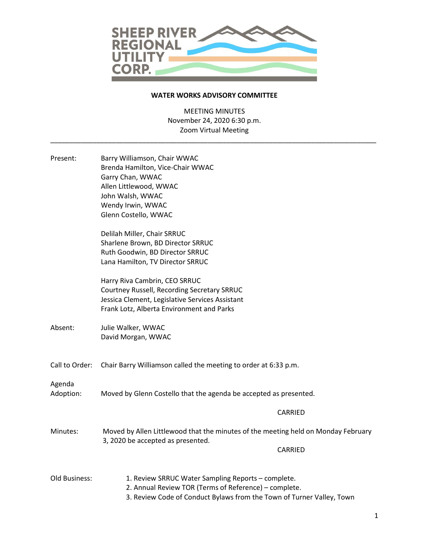

## **WATER WORKS ADVISORY COMMITTEE**

MEETING MINUTES November 24, 2020 6:30 p.m. Zoom Virtual Meeting

\_\_\_\_\_\_\_\_\_\_\_\_\_\_\_\_\_\_\_\_\_\_\_\_\_\_\_\_\_\_\_\_\_\_\_\_\_\_\_\_\_\_\_\_\_\_\_\_\_\_\_\_\_\_\_\_\_\_\_\_\_\_\_\_\_\_\_\_\_\_\_\_\_\_\_\_\_\_\_\_\_\_\_\_\_

| Present:            | Barry Williamson, Chair WWAC<br>Brenda Hamilton, Vice-Chair WWAC<br>Garry Chan, WWAC<br>Allen Littlewood, WWAC<br>John Walsh, WWAC<br>Wendy Irwin, WWAC<br>Glenn Costello, WWAC      |
|---------------------|--------------------------------------------------------------------------------------------------------------------------------------------------------------------------------------|
|                     | Delilah Miller, Chair SRRUC<br>Sharlene Brown, BD Director SRRUC<br>Ruth Goodwin, BD Director SRRUC<br>Lana Hamilton, TV Director SRRUC                                              |
|                     | Harry Riva Cambrin, CEO SRRUC<br>Courtney Russell, Recording Secretary SRRUC<br>Jessica Clement, Legislative Services Assistant<br>Frank Lotz, Alberta Environment and Parks         |
| Absent:             | Julie Walker, WWAC<br>David Morgan, WWAC                                                                                                                                             |
| Call to Order:      | Chair Barry Williamson called the meeting to order at 6:33 p.m.                                                                                                                      |
| Agenda<br>Adoption: | Moved by Glenn Costello that the agenda be accepted as presented.                                                                                                                    |
|                     | CARRIED                                                                                                                                                                              |
| Minutes:            | Moved by Allen Littlewood that the minutes of the meeting held on Monday February<br>3, 2020 be accepted as presented.                                                               |
|                     | CARRIED                                                                                                                                                                              |
| Old Business:       | 1. Review SRRUC Water Sampling Reports - complete.<br>2. Annual Review TOR (Terms of Reference) - complete.<br>3. Review Code of Conduct Bylaws from the Town of Turner Valley, Town |